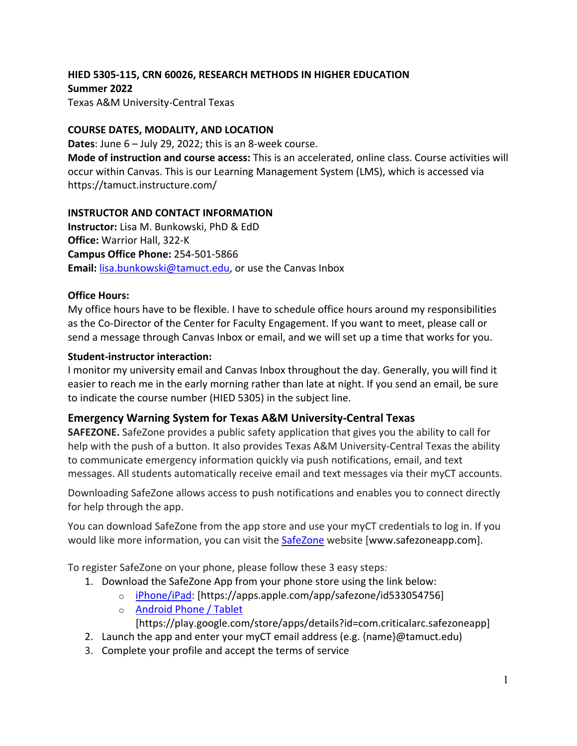# **HIED 5305-115, CRN 60026, RESEARCH METHODS IN HIGHER EDUCATION Summer 2022** Texas A&M University-Central Texas

#### **COURSE DATES, MODALITY, AND LOCATION**

**Dates**: June 6 – July 29, 2022; this is an 8-week course. **Mode of instruction and course access:** This is an accelerated, online class. Course activities will occur within Canvas. This is our Learning Management System (LMS), which is accessed via https://tamuct.instructure.com/

#### **INSTRUCTOR AND CONTACT INFORMATION**

**Instructor:** Lisa M. Bunkowski, PhD & EdD **Office:** Warrior Hall, 322-K **Campus Office Phone:** 254-501-5866 **Email:** [lisa.bunkowski@tamuct.edu,](mailto:lisa.bunkowski@tamuct.edu) or use the Canvas Inbox

#### **Office Hours:**

My office hours have to be flexible. I have to schedule office hours around my responsibilities as the Co-Director of the Center for Faculty Engagement. If you want to meet, please call or send a message through Canvas Inbox or email, and we will set up a time that works for you.

#### **Student-instructor interaction:**

I monitor my university email and Canvas Inbox throughout the day. Generally, you will find it easier to reach me in the early morning rather than late at night. If you send an email, be sure to indicate the course number (HIED 5305) in the subject line.

# **Emergency Warning System for Texas A&M University-Central Texas**

**SAFEZONE.** SafeZone provides a public safety application that gives you the ability to call for help with the push of a button. It also provides Texas A&M University-Central Texas the ability to communicate emergency information quickly via push notifications, email, and text messages. All students automatically receive email and text messages via their myCT accounts.

Downloading SafeZone allows access to push notifications and enables you to connect directly for help through the app.

You can download SafeZone from the app store and use your myCT credentials to log in. If you would like more information, you can visit the [SafeZone](http://www.safezoneapp.com/) website [www.safezoneapp.com].

To register SafeZone on your phone, please follow these 3 easy steps*:*

- 1. Download the SafeZone App from your phone store using the link below:
	- o [iPhone/iPad:](https://apps.apple.com/app/safezone/id533054756) [https://apps.apple.com/app/safezone/id533054756]
	- o [Android Phone / Tablet](https://play.google.com/store/apps/details?id=com.criticalarc.safezoneapp)

[https://play.google.com/store/apps/details?id=com.criticalarc.safezoneapp]

- 2. Launch the app and enter your myCT email address (e.g. {name}@tamuct.edu)
- 3. Complete your profile and accept the terms of service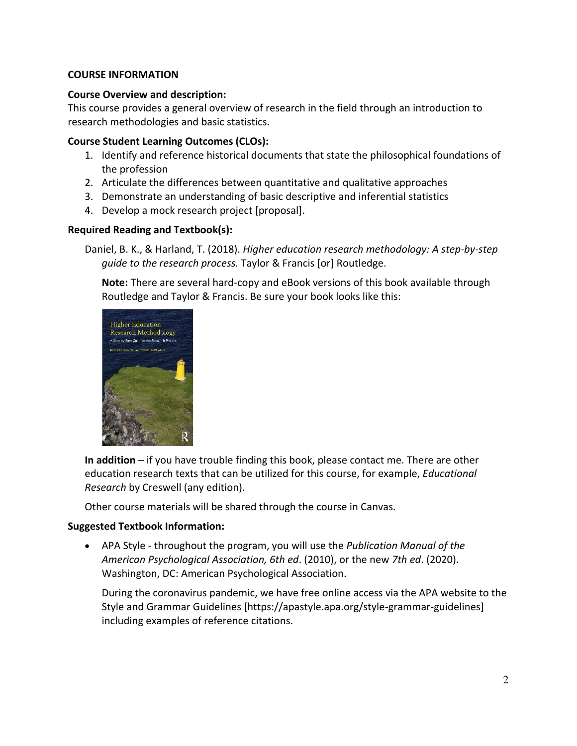#### **COURSE INFORMATION**

#### **Course Overview and description:**

This course provides a general overview of research in the field through an introduction to research methodologies and basic statistics.

#### **Course Student Learning Outcomes (CLOs):**

- 1. Identify and reference historical documents that state the philosophical foundations of the profession
- 2. Articulate the differences between quantitative and qualitative approaches
- 3. Demonstrate an understanding of basic descriptive and inferential statistics
- 4. Develop a mock research project [proposal].

# **Required Reading and Textbook(s):**

Daniel, B. K., & Harland, T. (2018). *Higher education research methodology: A step-by-step guide to the research process.* Taylor & Francis [or] Routledge.

**Note:** There are several hard-copy and eBook versions of this book available through Routledge and Taylor & Francis. Be sure your book looks like this:



**In addition** – if you have trouble finding this book, please contact me. There are other education research texts that can be utilized for this course, for example, *Educational Research* by Creswell (any edition).

Other course materials will be shared through the course in Canvas.

# **Suggested Textbook Information:**

• APA Style - throughout the program, you will use the *Publication Manual of the American Psychological Association, 6th ed*. (2010), or the new *7th ed*. (2020). Washington, DC: American Psychological Association.

During the coronavirus pandemic, we have free online access via the APA website to the [Style and Grammar Guidelines](https://apastyle.apa.org/style-grammar-guidelines) [https://apastyle.apa.org/style-grammar-guidelines] including examples of reference citations.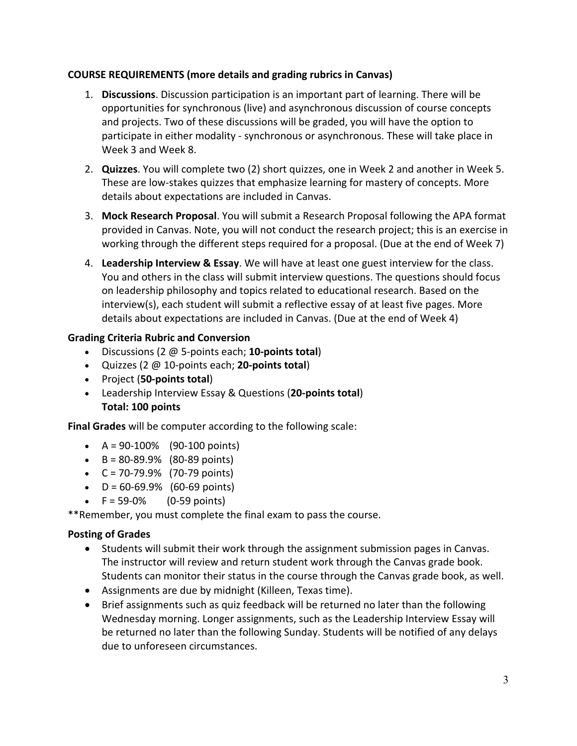# **COURSE REQUIREMENTS (more details and grading rubrics in Canvas)**

- 1. **Discussions**. Discussion participation is an important part of learning. There will be opportunities for synchronous (live) and asynchronous discussion of course concepts and projects. Two of these discussions will be graded, you will have the option to participate in either modality - synchronous or asynchronous. These will take place in Week 3 and Week 8.
- 2. **Quizzes**. You will complete two (2) short quizzes, one in Week 2 and another in Week 5. These are low-stakes quizzes that emphasize learning for mastery of concepts. More details about expectations are included in Canvas.
- 3. **Mock Research Proposal**. You will submit a Research Proposal following the APA format provided in Canvas. Note, you will not conduct the research project; this is an exercise in working through the different steps required for a proposal. (Due at the end of Week 7)
- 4. **Leadership Interview & Essay**. We will have at least one guest interview for the class. You and others in the class will submit interview questions. The questions should focus on leadership philosophy and topics related to educational research. Based on the interview(s), each student will submit a reflective essay of at least five pages. More details about expectations are included in Canvas. (Due at the end of Week 4)

# **Grading Criteria Rubric and Conversion**

- Discussions (2 @ 5-points each; **10-points total**)
- Quizzes (2 @ 10-points each; **20-points total**)
- Project (**50-points total**)
- Leadership Interview Essay & Questions (**20-points total**) **Total: 100 points**

**Final Grades** will be computer according to the following scale:

- $A = 90 100\%$  (90-100 points)
- $\bullet$  B = 80-89.9% (80-89 points)
- $C = 70 79.9%$  (70-79 points)
- $\bullet$  D = 60-69.9% (60-69 points)
- $F = 59-0\%$  (0-59 points)

\*\*Remember, you must complete the final exam to pass the course.

# **Posting of Grades**

- Students will submit their work through the assignment submission pages in Canvas. The instructor will review and return student work through the Canvas grade book. Students can monitor their status in the course through the Canvas grade book, as well.
- Assignments are due by midnight (Killeen, Texas time).
- Brief assignments such as quiz feedback will be returned no later than the following Wednesday morning. Longer assignments, such as the Leadership Interview Essay will be returned no later than the following Sunday. Students will be notified of any delays due to unforeseen circumstances.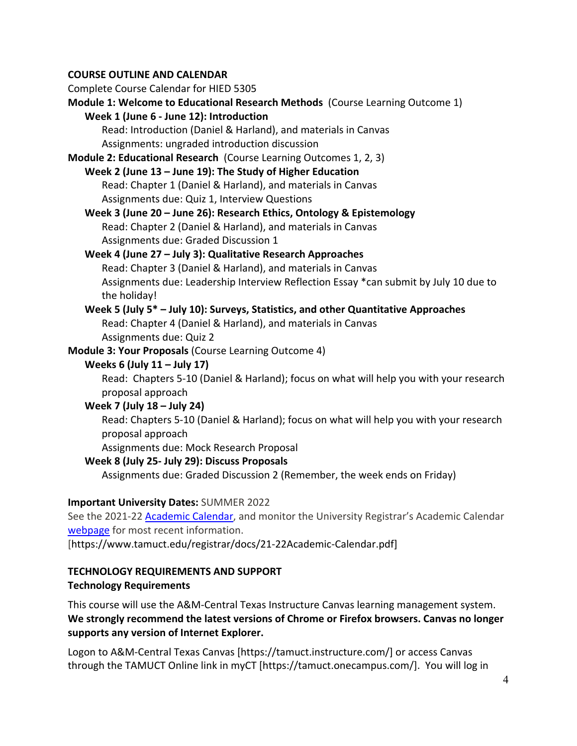# **COURSE OUTLINE AND CALENDAR**

Complete Course Calendar for HIED 5305 **Module 1: Welcome to Educational Research Methods** (Course Learning Outcome 1) **Week 1 (June 6 - June 12): Introduction** Read: Introduction (Daniel & Harland), and materials in Canvas Assignments: ungraded introduction discussion **Module 2: Educational Research** (Course Learning Outcomes 1, 2, 3) **Week 2 (June 13 – June 19): The Study of Higher Education** Read: Chapter 1 (Daniel & Harland), and materials in Canvas Assignments due: Quiz 1, Interview Questions **Week 3 (June 20 – June 26): Research Ethics, Ontology & Epistemology** Read: Chapter 2 (Daniel & Harland), and materials in Canvas Assignments due: Graded Discussion 1 **Week 4 (June 27 – July 3): Qualitative Research Approaches** Read: Chapter 3 (Daniel & Harland), and materials in Canvas Assignments due: Leadership Interview Reflection Essay \*can submit by July 10 due to the holiday! **Week 5 (July 5\* – July 10): Surveys, Statistics, and other Quantitative Approaches** Read: Chapter 4 (Daniel & Harland), and materials in Canvas Assignments due: Quiz 2 **Module 3: Your Proposals** (Course Learning Outcome 4) **Weeks 6 (July 11 – July 17)** Read: Chapters 5-10 (Daniel & Harland); focus on what will help you with your research proposal approach **Week 7 (July 18 – July 24)** Read: Chapters 5-10 (Daniel & Harland); focus on what will help you with your research proposal approach Assignments due: Mock Research Proposal **Week 8 (July 25- July 29): Discuss Proposals** Assignments due: Graded Discussion 2 (Remember, the week ends on Friday)

# **Important University Dates:** SUMMER 2022

See the 2021-22 [Academic Calendar,](https://www.tamuct.edu/registrar/docs/21-22Academic-Calendar.pdf) and monitor the University Registrar's Academic Calendar [webpage](https://www.tamuct.edu/registrar/academic-calendar.html) for most recent information.

[https://www.tamuct.edu/registrar/docs/21-22Academic-Calendar.pdf]

#### **TECHNOLOGY REQUIREMENTS AND SUPPORT Technology Requirements**

This course will use the A&M-Central Texas Instructure Canvas learning management system. **We strongly recommend the latest versions of Chrome or Firefox browsers. Canvas no longer supports any version of Internet Explorer.**

Logon to A&M-Central Texas Canvas [https://tamuct.instructure.com/] or access Canvas through the TAMUCT Online link in myCT [https://tamuct.onecampus.com/]. You will log in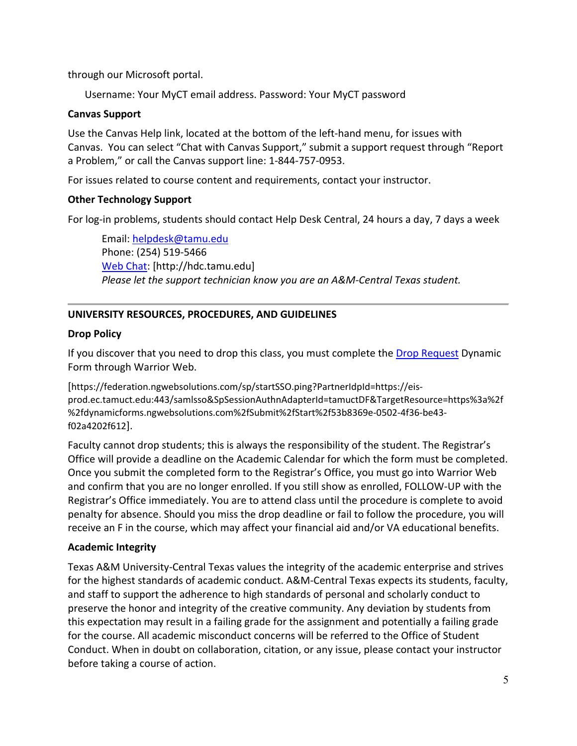through our Microsoft portal.

Username: Your MyCT email address. Password: Your MyCT password

#### **Canvas Support**

Use the Canvas Help link, located at the bottom of the left-hand menu, for issues with Canvas. You can select "Chat with Canvas Support," submit a support request through "Report a Problem," or call the Canvas support line: 1-844-757-0953.

For issues related to course content and requirements, contact your instructor.

#### **Other Technology Support**

For log-in problems, students should contact Help Desk Central, 24 hours a day, 7 days a week

Email: [helpdesk@tamu.edu](mailto:helpdesk@tamu.edu) Phone: (254) 519-5466 [Web Chat:](http://hdc.tamu.edu/) [http://hdc.tamu.edu] *Please let the support technician know you are an A&M-Central Texas student.*

# **UNIVERSITY RESOURCES, PROCEDURES, AND GUIDELINES**

# **Drop Policy**

If you discover that you need to drop this class, you must complete the [Drop Request](https://federation.ngwebsolutions.com/sp/startSSO.ping?PartnerIdpId=https://eis-prod.ec.tamuct.edu:443/samlsso&SpSessionAuthnAdapterId=tamuctDF&TargetResource=https%3a%2f%2fdynamicforms.ngwebsolutions.com%2fSubmit%2fStart%2f53b8369e-0502-4f36-be43-f02a4202f612) Dynamic Form through Warrior Web.

[https://federation.ngwebsolutions.com/sp/startSSO.ping?PartnerIdpId=https://eisprod.ec.tamuct.edu:443/samlsso&SpSessionAuthnAdapterId=tamuctDF&TargetResource=https%3a%2f %2fdynamicforms.ngwebsolutions.com%2fSubmit%2fStart%2f53b8369e-0502-4f36-be43 f02a4202f612].

Faculty cannot drop students; this is always the responsibility of the student. The Registrar's Office will provide a deadline on the Academic Calendar for which the form must be completed. Once you submit the completed form to the Registrar's Office, you must go into Warrior Web and confirm that you are no longer enrolled. If you still show as enrolled, FOLLOW-UP with the Registrar's Office immediately. You are to attend class until the procedure is complete to avoid penalty for absence. Should you miss the drop deadline or fail to follow the procedure, you will receive an F in the course, which may affect your financial aid and/or VA educational benefits.

#### **Academic Integrity**

Texas A&M University-Central Texas values the integrity of the academic enterprise and strives for the highest standards of academic conduct. A&M-Central Texas expects its students, faculty, and staff to support the adherence to high standards of personal and scholarly conduct to preserve the honor and integrity of the creative community. Any deviation by students from this expectation may result in a failing grade for the assignment and potentially a failing grade for the course. All academic misconduct concerns will be referred to the Office of Student Conduct. When in doubt on collaboration, citation, or any issue, please contact your instructor before taking a course of action.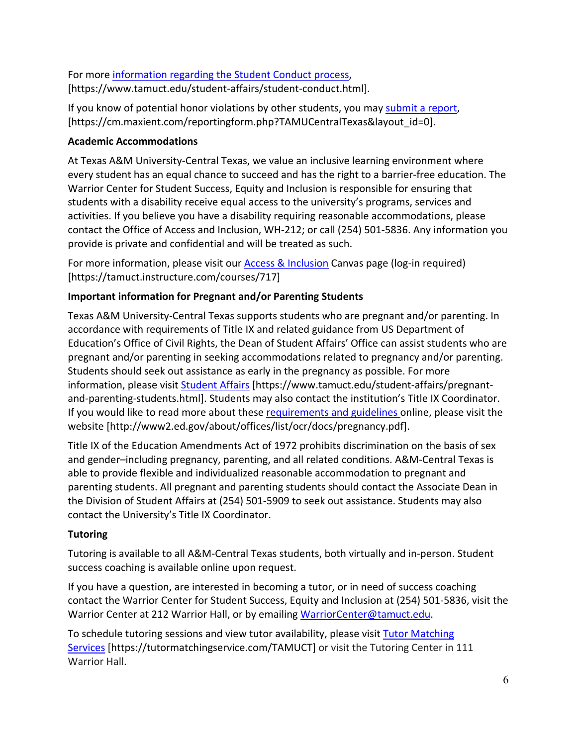For more [information](https://nam04.safelinks.protection.outlook.com/?url=https%3A%2F%2Fwww.tamuct.edu%2Fstudent-affairs%2Fstudent-conduct.html&data=04%7C01%7Clisa.bunkowski%40tamuct.edu%7Ccfb6e486f24745f53e1a08d910055cb2%7C9eed4e3000f744849ff193ad8005acec%7C0%7C0%7C637558437485252160%7CUnknown%7CTWFpbGZsb3d8eyJWIjoiMC4wLjAwMDAiLCJQIjoiV2luMzIiLCJBTiI6Ik1haWwiLCJXVCI6Mn0%3D%7C1000&sdata=yjftDEVHvLX%2FhM%2FcFU0B99krV1RgEWR%2BJ%2BhvtoR6TYk%3D&reserved=0) regarding the Student Conduct process, [https://www.tamuct.edu/student-affairs/student-conduct.html].

If you know of potential honor violations by other students, you may [submit](https://nam04.safelinks.protection.outlook.com/?url=https%3A%2F%2Fcm.maxient.com%2Freportingform.php%3FTAMUCentralTexas%26layout_id%3D0&data=04%7C01%7Clisa.bunkowski%40tamuct.edu%7Ccfb6e486f24745f53e1a08d910055cb2%7C9eed4e3000f744849ff193ad8005acec%7C0%7C0%7C637558437485262157%7CUnknown%7CTWFpbGZsb3d8eyJWIjoiMC4wLjAwMDAiLCJQIjoiV2luMzIiLCJBTiI6Ik1haWwiLCJXVCI6Mn0%3D%7C1000&sdata=CXGkOa6uPDPX1IMZ87z3aZDq2n91xfHKu4MMS43Ejjk%3D&reserved=0) a report, [https://cm.maxient.com/reportingform.php?TAMUCentralTexas&layout\_id=0].

# **Academic Accommodations**

At Texas A&M University-Central Texas, we value an inclusive learning environment where every student has an equal chance to succeed and has the right to a barrier-free education. The Warrior Center for Student Success, Equity and Inclusion is responsible for ensuring that students with a disability receive equal access to the university's programs, services and activities. If you believe you have a disability requiring reasonable accommodations, please contact the Office of Access and Inclusion, WH-212; or call (254) 501-5836. Any information you provide is private and confidential and will be treated as such.

For more information, please visit our **Access & Inclusion** Canvas page (log-in required) [https://tamuct.instructure.com/courses/717]

# **Important information for Pregnant and/or Parenting Students**

Texas A&M University-Central Texas supports students who are pregnant and/or parenting. In accordance with requirements of Title IX and related guidance from US Department of Education's Office of Civil Rights, the Dean of Student Affairs' Office can assist students who are pregnant and/or parenting in seeking accommodations related to pregnancy and/or parenting. Students should seek out assistance as early in the pregnancy as possible. For more information, please visit [Student Affairs](https://www.tamuct.edu/student-affairs/pregnant-and-parenting-students.html) [https://www.tamuct.edu/student-affairs/pregnantand-parenting-students.html]. Students may also contact the institution's Title IX Coordinator. If you would like to read more about these [requirements and guidelines](http://www2.ed.gov/about/offices/list/ocr/docs/pregnancy.pdf) online, please visit the website [http://www2.ed.gov/about/offices/list/ocr/docs/pregnancy.pdf].

Title IX of the Education Amendments Act of 1972 prohibits discrimination on the basis of sex and gender–including pregnancy, parenting, and all related conditions. A&M-Central Texas is able to provide flexible and individualized reasonable accommodation to pregnant and parenting students. All pregnant and parenting students should contact the Associate Dean in the Division of Student Affairs at (254) 501-5909 to seek out assistance. Students may also contact the University's Title IX Coordinator.

# **Tutoring**

Tutoring is available to all A&M-Central Texas students, both virtually and in-person. Student success coaching is available online upon request.

If you have a question, are interested in becoming a tutor, or in need of success coaching contact the Warrior Center for Student Success, Equity and Inclusion at (254) 501-5836, visit the Warrior Center at 212 Warrior Hall, or by emailing [WarriorCenter@tamuct.edu.](mailto:WarriorCenter@tamuct.edu)

To schedule tutoring sessions and view tutor availability, please visit Tutor [Matching](https://tutormatchingservice.com/TAMUCT) [Services](https://tutormatchingservice.com/TAMUCT) [https://tutormatchingservice.com/TAMUCT] or visit the Tutoring Center in 111 Warrior Hall.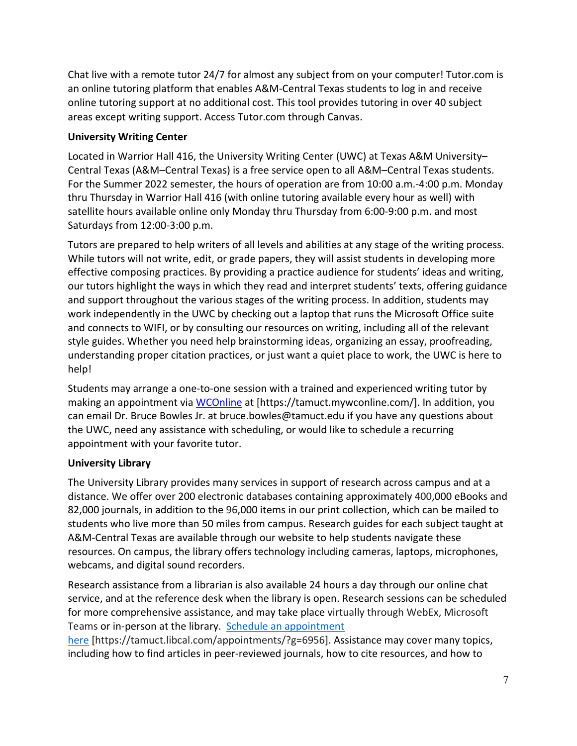Chat live with a remote tutor 24/7 for almost any subject from on your computer! Tutor.com is an online tutoring platform that enables A&M-Central Texas students to log in and receive online tutoring support at no additional cost. This tool provides tutoring in over 40 subject areas except writing support. Access Tutor.com through Canvas.

# **University Writing Center**

Located in Warrior Hall 416, the University Writing Center (UWC) at Texas A&M University– Central Texas (A&M–Central Texas) is a free service open to all A&M–Central Texas students. For the Summer 2022 semester, the hours of operation are from 10:00 a.m.-4:00 p.m. Monday thru Thursday in Warrior Hall 416 (with online tutoring available every hour as well) with satellite hours available online only Monday thru Thursday from 6:00-9:00 p.m. and most Saturdays from 12:00-3:00 p.m.

Tutors are prepared to help writers of all levels and abilities at any stage of the writing process. While tutors will not write, edit, or grade papers, they will assist students in developing more effective composing practices. By providing a practice audience for students' ideas and writing, our tutors highlight the ways in which they read and interpret students' texts, offering guidance and support throughout the various stages of the writing process. In addition, students may work independently in the UWC by checking out a laptop that runs the Microsoft Office suite and connects to WIFI, or by consulting our resources on writing, including all of the relevant style guides. Whether you need help brainstorming ideas, organizing an essay, proofreading, understanding proper citation practices, or just want a quiet place to work, the UWC is here to help!

Students may arrange a one-to-one session with a trained and experienced writing tutor by making an appointment via [WCOnline](https://tamuct.mywconline.com/) at [https://tamuct.mywconline.com/]. In addition, you can email Dr. Bruce Bowles Jr. at bruce.bowles@tamuct.edu if you have any questions about the UWC, need any assistance with scheduling, or would like to schedule a recurring appointment with your favorite tutor.

# **University Library**

The University Library provides many services in support of research across campus and at a distance. We offer over 200 electronic databases containing approximately 400,000 eBooks and 82,000 journals, in addition to the 96,000 items in our print collection, which can be mailed to students who live more than 50 miles from campus. Research guides for each subject taught at A&M-Central Texas are available through our website to help students navigate these resources. On campus, the library offers technology including cameras, laptops, microphones, webcams, and digital sound recorders.

Research assistance from a librarian is also available 24 hours a day through our online chat service, and at the reference desk when the library is open. Research sessions can be scheduled for more comprehensive assistance, and may take place virtually through WebEx, Microsoft Teams or in-person at the library. Schedule an [appointment](https://nam04.safelinks.protection.outlook.com/?url=https%3A%2F%2Ftamuct.libcal.com%2Fappointments%2F%3Fg%3D6956&data=04%7C01%7Clisa.bunkowski%40tamuct.edu%7Cde2c07d9f5804f09518008d9ab7ba6ff%7C9eed4e3000f744849ff193ad8005acec%7C0%7C0%7C637729369835011558%7CUnknown%7CTWFpbGZsb3d8eyJWIjoiMC4wLjAwMDAiLCJQIjoiV2luMzIiLCJBTiI6Ik1haWwiLCJXVCI6Mn0%3D%7C3000&sdata=KhtjgRSAw9aq%2FoBsB6wyu8b7PSuGN5EGPypzr3Ty2No%3D&reserved=0)

[here](https://nam04.safelinks.protection.outlook.com/?url=https%3A%2F%2Ftamuct.libcal.com%2Fappointments%2F%3Fg%3D6956&data=04%7C01%7Clisa.bunkowski%40tamuct.edu%7Cde2c07d9f5804f09518008d9ab7ba6ff%7C9eed4e3000f744849ff193ad8005acec%7C0%7C0%7C637729369835011558%7CUnknown%7CTWFpbGZsb3d8eyJWIjoiMC4wLjAwMDAiLCJQIjoiV2luMzIiLCJBTiI6Ik1haWwiLCJXVCI6Mn0%3D%7C3000&sdata=KhtjgRSAw9aq%2FoBsB6wyu8b7PSuGN5EGPypzr3Ty2No%3D&reserved=0) [https://tamuct.libcal.com/appointments/?g=6956]. Assistance may cover many topics, including how to find articles in peer-reviewed journals, how to cite resources, and how to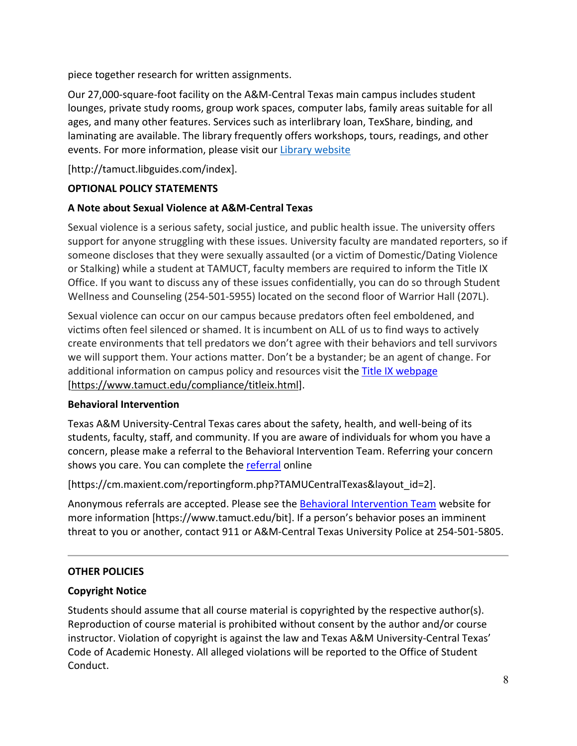piece together research for written assignments.

Our 27,000-square-foot facility on the A&M-Central Texas main campus includes student lounges, private study rooms, group work spaces, computer labs, family areas suitable for all ages, and many other features. Services such as interlibrary loan, TexShare, binding, and laminating are available. The library frequently offers workshops, tours, readings, and other events. For more information, please visit our Library [website](https://nam04.safelinks.protection.outlook.com/?url=https%3A%2F%2Ftamuct.libguides.com%2Findex&data=04%7C01%7Clisa.bunkowski%40tamuct.edu%7C7d8489e8839a4915335f08d916f067f2%7C9eed4e3000f744849ff193ad8005acec%7C0%7C0%7C637566044056484222%7CUnknown%7CTWFpbGZsb3d8eyJWIjoiMC4wLjAwMDAiLCJQIjoiV2luMzIiLCJBTiI6Ik1haWwiLCJXVCI6Mn0%3D%7C1000&sdata=2R755V6rcIyedGrd4Os5rkgn1PvhHKU3kUV1vBKiHFo%3D&reserved=0)

[http://tamuct.libguides.com/index].

# **OPTIONAL POLICY STATEMENTS**

# **A Note about Sexual Violence at A&M-Central Texas**

Sexual violence is a serious safety, social justice, and public health issue. The university offers support for anyone struggling with these issues. University faculty are mandated reporters, so if someone discloses that they were sexually assaulted (or a victim of Domestic/Dating Violence or Stalking) while a student at TAMUCT, faculty members are required to inform the Title IX Office. If you want to discuss any of these issues confidentially, you can do so through Student Wellness and Counseling (254-501-5955) located on the second floor of Warrior Hall (207L).

Sexual violence can occur on our campus because predators often feel emboldened, and victims often feel silenced or shamed. It is incumbent on ALL of us to find ways to actively create environments that tell predators we don't agree with their behaviors and tell survivors we will support them. Your actions matter. Don't be a bystander; be an agent of change. For additional information on campus policy and resources visit the [Title IX webpage](https://www.tamuct.edu/compliance/titleix.html) [\[https://www.tamuct.edu/compliance/titleix.html\]](https://www.tamuct.edu/compliance/titleix.html).

# **Behavioral Intervention**

Texas A&M University-Central Texas cares about the safety, health, and well-being of its students, faculty, staff, and community. If you are aware of individuals for whom you have a concern, please make a referral to the Behavioral Intervention Team. Referring your concern shows you care. You can complete the [referral](https://cm.maxient.com/reportingform.php?TAMUCentralTexas&layout_id=2) online

[https://cm.maxient.com/reportingform.php?TAMUCentralTexas&layout\_id=2].

Anonymous referrals are accepted. Please see the **Behavioral Intervention Team** website for more information [https://www.tamuct.edu/bit]. If a person's behavior poses an imminent threat to you or another, contact 911 or A&M-Central Texas University Police at 254-501-5805.

# **OTHER POLICIES**

# **Copyright Notice**

Students should assume that all course material is copyrighted by the respective author(s). Reproduction of course material is prohibited without consent by the author and/or course instructor. Violation of copyright is against the law and Texas A&M University-Central Texas' Code of Academic Honesty. All alleged violations will be reported to the Office of Student Conduct.